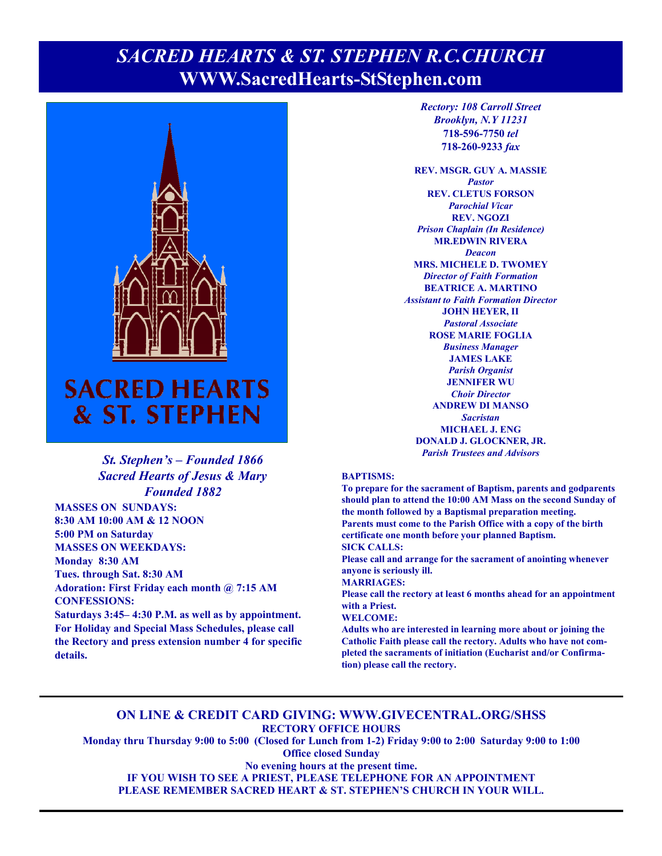### **Page 1, Sunday, May 22, 2022** *SACRED HEARTS & ST. STEPHEN R.C.CHURCH*  **WWW.SacredHearts-StStephen.com**



# & ST. STEPHEN

#### *St. Stephen's – Founded 1866 Sacred Hearts of Jesus & Mary Founded 1882*

**MASSES ON SUNDAYS: 8:30 AM 10:00 AM & 12 NOON 5:00 PM on Saturday MASSES ON WEEKDAYS: Monday 8:30 AM Tues. through Sat. 8:30 AM Adoration: First Friday each month @ 7:15 AM CONFESSIONS:** 

**Saturdays 3:45– 4:30 P.M. as well as by appointment. For Holiday and Special Mass Schedules, please call the Rectory and press extension number 4 for specific details.**

*Rectory: 108 Carroll Street Brooklyn, N.Y 11231*  **718-596-7750** *tel* **718-260-9233** *fax*

**REV. MSGR. GUY A. MASSIE**  *Pastor*  **REV. CLETUS FORSON**  *Parochial Vicar*  **REV. NGOZI**  *Prison Chaplain (In Residence)*  **MR.EDWIN RIVERA**  *Deacon*  **MRS. MICHELE D. TWOMEY**  *Director of Faith Formation*  **BEATRICE A. MARTINO**  *Assistant to Faith Formation Director*  **JOHN HEYER, II**  *Pastoral Associate*  **ROSE MARIE FOGLIA**  *Business Manager*  **JAMES LAKE**  *Parish Organist*  **JENNIFER WU**  *Choir Director* **ANDREW DI MANSO**  *Sacristan*  **MICHAEL J. ENG DONALD J. GLOCKNER, JR.**  *Parish Trustees and Advisors* 

#### **BAPTISMS:**

**To prepare for the sacrament of Baptism, parents and godparents should plan to attend the 10:00 AM Mass on the second Sunday of the month followed by a Baptismal preparation meeting. Parents must come to the Parish Office with a copy of the birth certificate one month before your planned Baptism. SICK CALLS:** 

**Please call and arrange for the sacrament of anointing whenever anyone is seriously ill.** 

**MARRIAGES:** 

**Please call the rectory at least 6 months ahead for an appointment with a Priest.** 

#### **WELCOME:**

**Adults who are interested in learning more about or joining the Catholic Faith please call the rectory. Adults who have not completed the sacraments of initiation (Eucharist and/or Confirmation) please call the rectory.** 

#### **ON LINE & CREDIT CARD GIVING: WWW.GIVECENTRAL.ORG/SHSS RECTORY OFFICE HOURS**

**Monday thru Thursday 9:00 to 5:00 (Closed for Lunch from 1-2) Friday 9:00 to 2:00 Saturday 9:00 to 1:00 Office closed Sunday** 

**No evening hours at the present time.** 

**IF YOU WISH TO SEE A PRIEST, PLEASE TELEPHONE FOR AN APPOINTMENT** 

**PLEASE REMEMBER SACRED HEART & ST. STEPHEN'S CHURCH IN YOUR WILL.**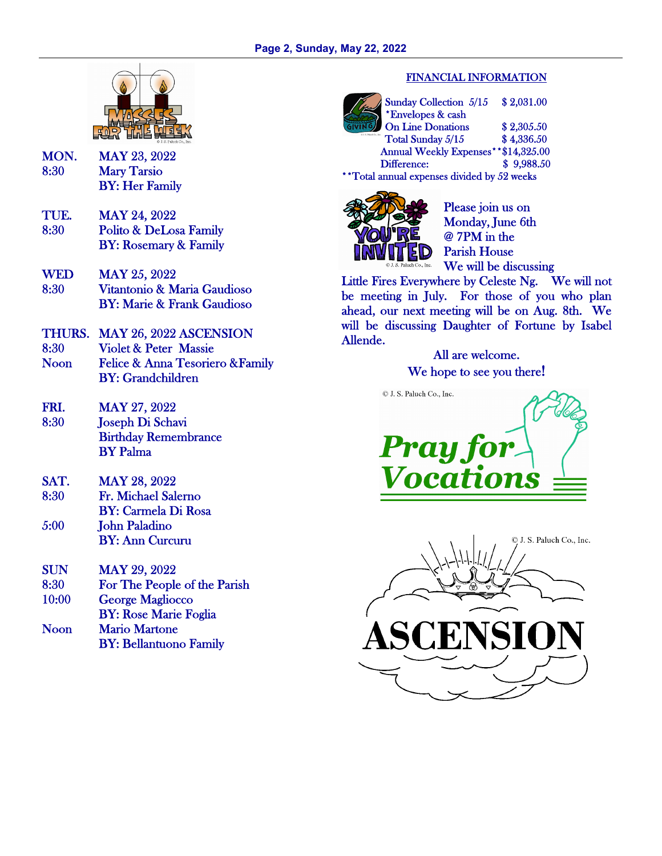

- MON. MAY 23, 2022 8:30 Mary Tarsio BY: Her Family
- TUE. MAY 24, 2022 8:30 Polito & DeLosa Family BY: Rosemary & Family
- WED MAY 25, 2022 8:30 Vitantonio & Maria Gaudioso BY: Marie & Frank Gaudioso
- THURS. MAY 26, 2022 ASCENSION 8:30 Violet & Peter Massie Noon Felice & Anna Tesoriero &Family BY: Grandchildren
- FRI. MAY 27, 2022 8:30 Joseph Di Schavi Birthday Remembrance BY Palma
- SAT. MAY 28, 2022 8:30 Fr. Michael Salerno BY: Carmela Di Rosa 5:00 John Paladino BY: Ann Curcuru
- SUN MAY 29, 2022 8:30 For The People of the Parish 10:00 George Magliocco BY: Rose Marie Foglia Noon Mario Martone BY: Bellantuono Family

#### FINANCIAL INFORMATION

Sunday Collection 5/15 \$ 2,031.00 \*Envelopes & cash On Line Donations \$2,305.50 Total Sunday  $5/15$  \$ 4,336.50 Annual Weekly Expenses\*\*\$14,325.00 Difference: \$ 9,988.50 \*\*Total annual expenses divided by 52 weeks



Please join us on Monday, June 6th @ 7PM in the Parish House We will be discussing

Little Fires Everywhere by Celeste Ng. We will not be meeting in July. For those of you who plan ahead, our next meeting will be on Aug. 8th. We will be discussing Daughter of Fortune by Isabel Allende.

All are welcome. We hope to see you there!



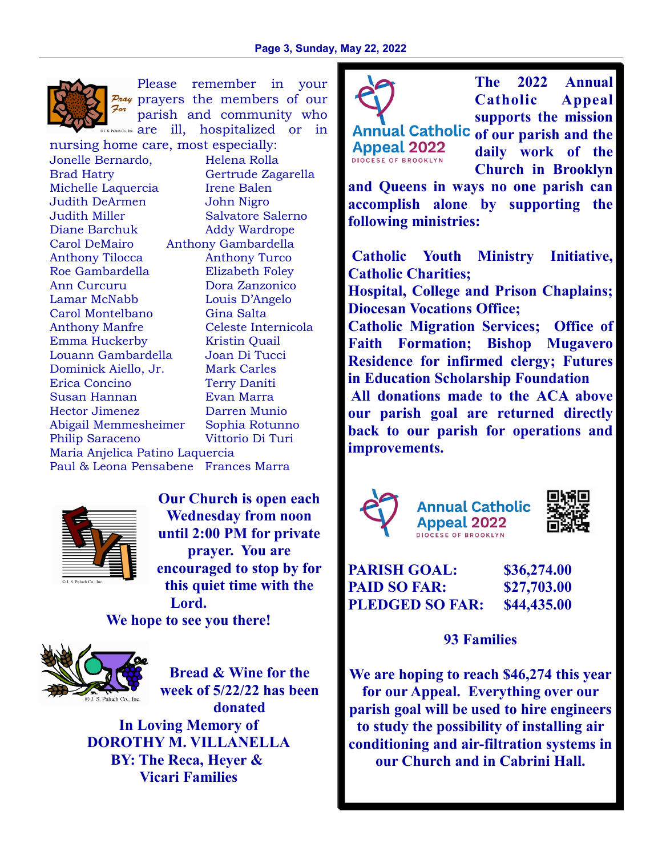

Please remember in your  $P_{\text{max}}$  prayers the members of our For parish and community who  $P_{\text{adiab}}$  are ill, hospitalized or in

nursing home care, most especially: Jonelle Bernardo, Helena Rolla Brad Hatry Gertrude Zagarella Michelle Laquercia Irene Balen Judith DeArmen John Nigro Judith Miller Salvatore Salerno Diane Barchuk Addy Wardrope Carol DeMairo Anthony Gambardella Anthony Tilocca Anthony Turco Roe Gambardella Elizabeth Foley Ann Curcuru Dora Zanzonico Lamar McNabb Louis D'Angelo Carol Montelbano Gina Salta Anthony Manfre Celeste Internicola Emma Huckerby Kristin Quail Louann Gambardella Joan Di Tucci Dominick Aiello, Jr. Mark Carles Erica Concino Terry Daniti Susan Hannan Evan Marra Hector Jimenez Darren Munio Abigail Memmesheimer Sophia Rotunno Philip Saraceno Vittorio Di Turi Maria Anjelica Patino Laquercia Paul & Leona Pensabene Frances Marra



**Our Church is open each Wednesday from noon until 2:00 PM for private prayer. You are encouraged to stop by for this quiet time with the Lord.** 

**We hope to see you there!** 



**Bread & Wine for the week of 5/22/22 has been donated In Loving Memory of DOROTHY M. VILLANELLA BY: The Reca, Heyer &** 

**Vicari Families**



**Appeal 2022** DIOCESE OF BROOKLYN

**The 2022 Annual Catholic Appeal supports the mission** 

Annual Catholic of our parish and the **daily work of the Church in Brooklyn** 

**and Queens in ways no one parish can accomplish alone by supporting the following ministries:** 

 **Catholic Youth Ministry Initiative, Catholic Charities;** 

**Hospital, College and Prison Chaplains; Diocesan Vocations Office;** 

**Catholic Migration Services; Office of Faith Formation; Bishop Mugavero Residence for infirmed clergy; Futures in Education Scholarship Foundation All donations made to the ACA above** 

**our parish goal are returned directly back to our parish for operations and improvements.** 







**PARISH GOAL: \$36,274.00 PAID SO FAR: \$27,703.00 PLEDGED SO FAR: \$44,435.00** 

**93 Families** 

**We are hoping to reach \$46,274 this year for our Appeal. Everything over our parish goal will be used to hire engineers to study the possibility of installing air conditioning and air-filtration systems in our Church and in Cabrini Hall.**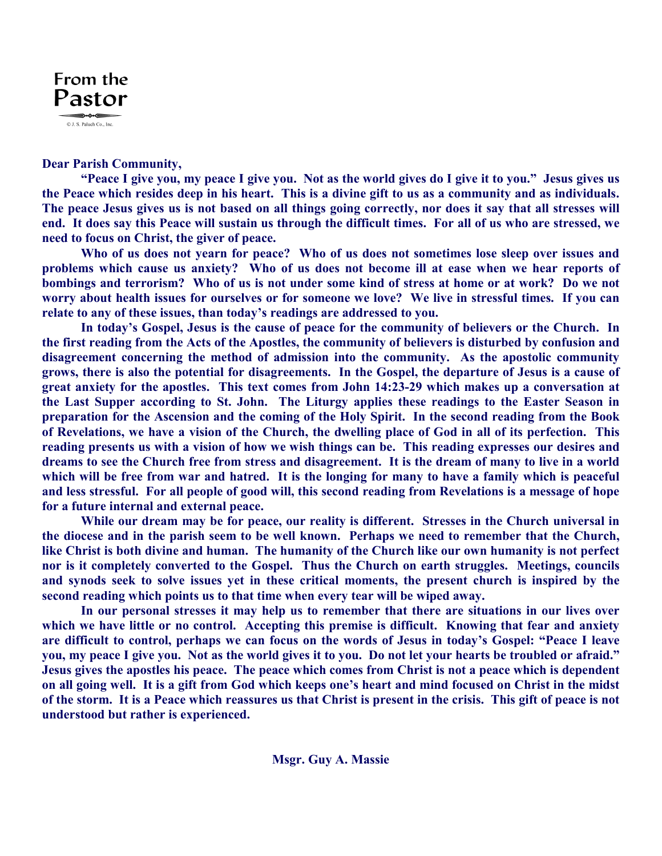

#### **Dear Parish Community,**

 **"Peace I give you, my peace I give you. Not as the world gives do I give it to you." Jesus gives us the Peace which resides deep in his heart. This is a divine gift to us as a community and as individuals. The peace Jesus gives us is not based on all things going correctly, nor does it say that all stresses will end. It does say this Peace will sustain us through the difficult times. For all of us who are stressed, we need to focus on Christ, the giver of peace.** 

 **Who of us does not yearn for peace? Who of us does not sometimes lose sleep over issues and problems which cause us anxiety? Who of us does not become ill at ease when we hear reports of bombings and terrorism? Who of us is not under some kind of stress at home or at work? Do we not worry about health issues for ourselves or for someone we love? We live in stressful times. If you can relate to any of these issues, than today's readings are addressed to you.** 

 **In today's Gospel, Jesus is the cause of peace for the community of believers or the Church. In the first reading from the Acts of the Apostles, the community of believers is disturbed by confusion and disagreement concerning the method of admission into the community. As the apostolic community grows, there is also the potential for disagreements. In the Gospel, the departure of Jesus is a cause of great anxiety for the apostles. This text comes from John 14:23-29 which makes up a conversation at the Last Supper according to St. John. The Liturgy applies these readings to the Easter Season in preparation for the Ascension and the coming of the Holy Spirit. In the second reading from the Book of Revelations, we have a vision of the Church, the dwelling place of God in all of its perfection. This reading presents us with a vision of how we wish things can be. This reading expresses our desires and dreams to see the Church free from stress and disagreement. It is the dream of many to live in a world which will be free from war and hatred. It is the longing for many to have a family which is peaceful and less stressful. For all people of good will, this second reading from Revelations is a message of hope for a future internal and external peace.** 

 **While our dream may be for peace, our reality is different. Stresses in the Church universal in the diocese and in the parish seem to be well known. Perhaps we need to remember that the Church, like Christ is both divine and human. The humanity of the Church like our own humanity is not perfect nor is it completely converted to the Gospel. Thus the Church on earth struggles. Meetings, councils and synods seek to solve issues yet in these critical moments, the present church is inspired by the second reading which points us to that time when every tear will be wiped away.** 

 **In our personal stresses it may help us to remember that there are situations in our lives over which we have little or no control. Accepting this premise is difficult. Knowing that fear and anxiety are difficult to control, perhaps we can focus on the words of Jesus in today's Gospel: "Peace I leave you, my peace I give you. Not as the world gives it to you. Do not let your hearts be troubled or afraid." Jesus gives the apostles his peace. The peace which comes from Christ is not a peace which is dependent on all going well. It is a gift from God which keeps one's heart and mind focused on Christ in the midst of the storm. It is a Peace which reassures us that Christ is present in the crisis. This gift of peace is not understood but rather is experienced.**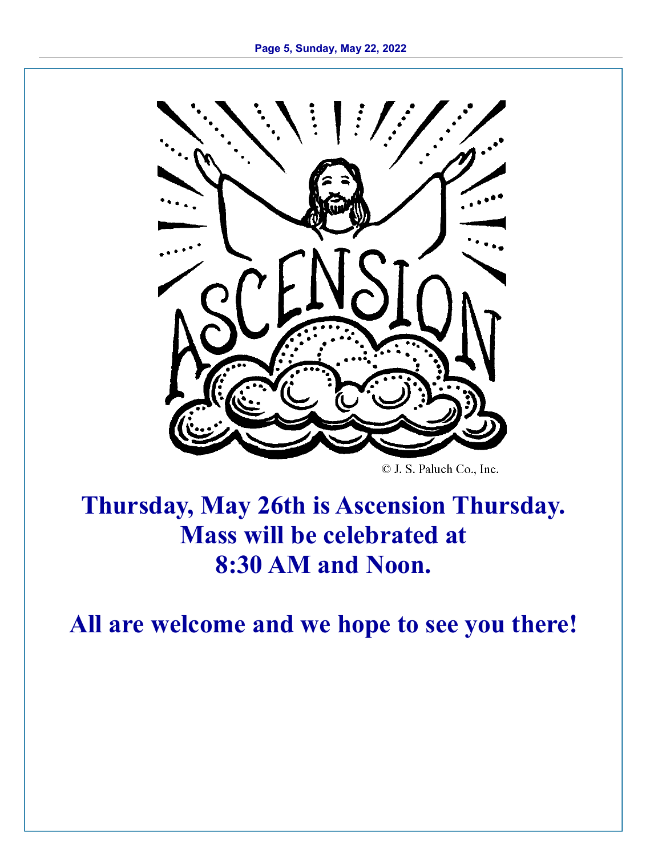

© J. S. Paluch Co., Inc.

## **Thursday, May 26th is Ascension Thursday. Mass will be celebrated at 8:30 AM and Noon.**

**All are welcome and we hope to see you there!**